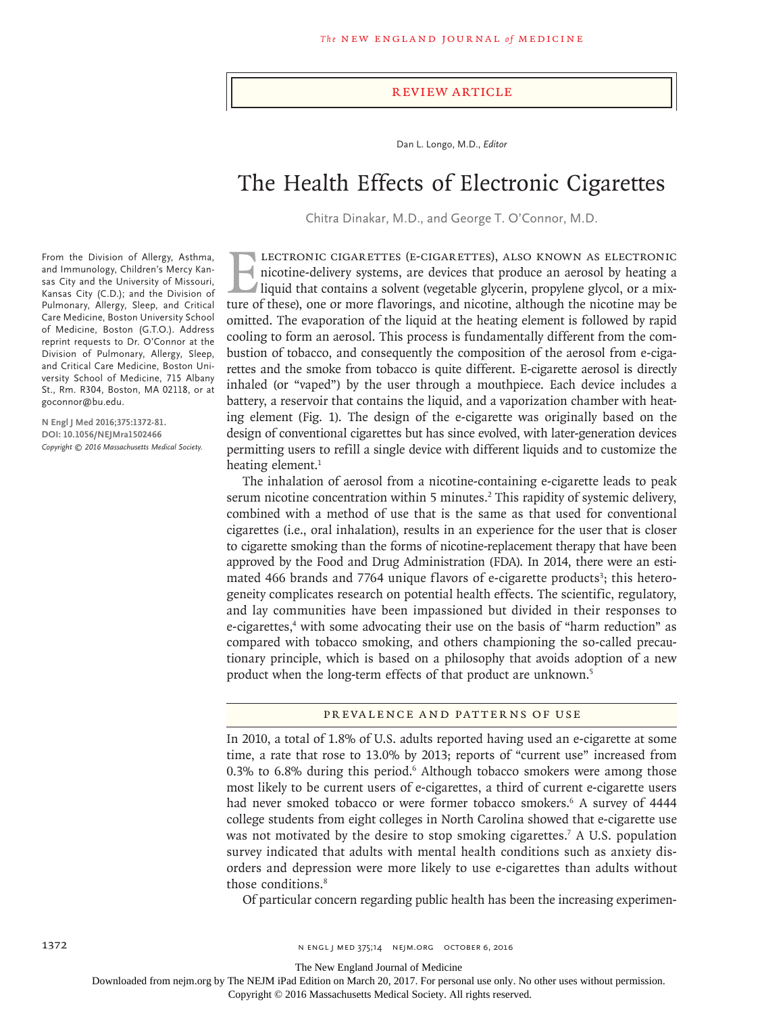#### Review Article

Dan L. Longo, M.D., *Editor*

# The Health Effects of Electronic Cigarettes

Chitra Dinakar, M.D., and George T. O'Connor, M.D.

**ELECTRONIC CIGARETTES (E-CIGARETTES), ALSO KNOWN AS ELECTRONIC** nicotine-delivery systems, are devices that produce an aerosol by heating a liquid that contains a solvent (vegetable glycerin, propylene glycol, or a mixtur nicotine-delivery systems, are devices that produce an aerosol by heating a liquid that contains a solvent (vegetable glycerin, propylene glycol, or a mixture of these), one or more flavorings, and nicotine, although the nicotine may be omitted. The evaporation of the liquid at the heating element is followed by rapid cooling to form an aerosol. This process is fundamentally different from the combustion of tobacco, and consequently the composition of the aerosol from e-cigarettes and the smoke from tobacco is quite different. E-cigarette aerosol is directly inhaled (or "vaped") by the user through a mouthpiece. Each device includes a battery, a reservoir that contains the liquid, and a vaporization chamber with heating element (Fig. 1). The design of the e-cigarette was originally based on the design of conventional cigarettes but has since evolved, with later-generation devices permitting users to refill a single device with different liquids and to customize the heating element.<sup>1</sup>

The inhalation of aerosol from a nicotine-containing e-cigarette leads to peak serum nicotine concentration within 5 minutes.<sup>2</sup> This rapidity of systemic delivery, combined with a method of use that is the same as that used for conventional cigarettes (i.e., oral inhalation), results in an experience for the user that is closer to cigarette smoking than the forms of nicotine-replacement therapy that have been approved by the Food and Drug Administration (FDA). In 2014, there were an estimated 466 brands and 7764 unique flavors of e-cigarette products<sup>3</sup>; this heterogeneity complicates research on potential health effects. The scientific, regulatory, and lay communities have been impassioned but divided in their responses to e-cigarettes,<sup>4</sup> with some advocating their use on the basis of "harm reduction" as compared with tobacco smoking, and others championing the so-called precautionary principle, which is based on a philosophy that avoids adoption of a new product when the long-term effects of that product are unknown.5

#### Prevalence and Patterns of Use

In 2010, a total of 1.8% of U.S. adults reported having used an e-cigarette at some time, a rate that rose to 13.0% by 2013; reports of "current use" increased from 0.3% to 6.8% during this period.<sup>6</sup> Although tobacco smokers were among those most likely to be current users of e-cigarettes, a third of current e-cigarette users had never smoked tobacco or were former tobacco smokers.<sup>6</sup> A survey of 4444 college students from eight colleges in North Carolina showed that e-cigarette use was not motivated by the desire to stop smoking cigarettes.7 A U.S. population survey indicated that adults with mental health conditions such as anxiety disorders and depression were more likely to use e-cigarettes than adults without those conditions.<sup>8</sup>

Of particular concern regarding public health has been the increasing experimen-

From the Division of Allergy, Asthma, and Immunology, Children's Mercy Kansas City and the University of Missouri, Kansas City (C.D.); and the Division of Pulmonary, Allergy, Sleep, and Critical Care Medicine, Boston University School of Medicine, Boston (G.T.O.). Address reprint requests to Dr. O'Connor at the Division of Pulmonary, Allergy, Sleep, and Critical Care Medicine, Boston University School of Medicine, 715 Albany St., Rm. R304, Boston, MA 02118, or at goconnor@bu.edu.

**N Engl J Med 2016;375:1372-81. DOI: 10.1056/NEJMra1502466** *Copyright © 2016 Massachusetts Medical Society.*

1372 **n engl j med 375;14 n engl j med 375;14 n engl j med 375;14 n engl j med 375;14 n engl j med 375;14 n engl j med 375;14 n engl j med 375;14 n engl j med 375;14 n engl j med 375;14 n engl j med 375;14 n engl j med 375** 

The New England Journal of Medicine

Downloaded from nejm.org by The NEJM iPad Edition on March 20, 2017. For personal use only. No other uses without permission.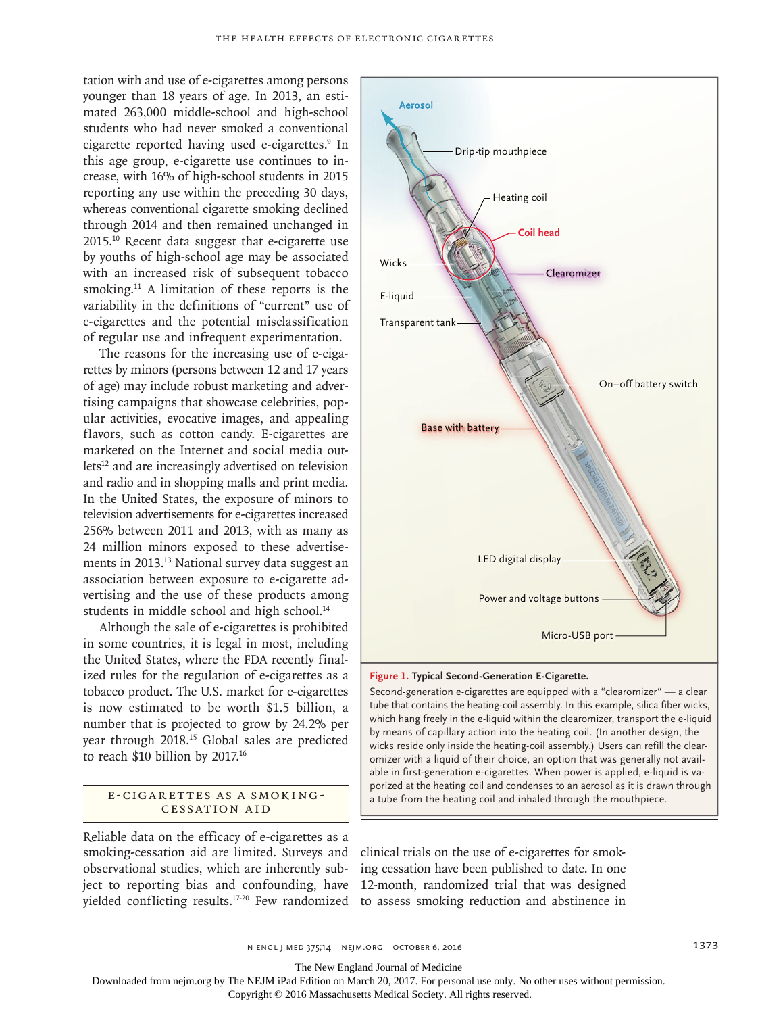tation with and use of e-cigarettes among persons younger than 18 years of age. In 2013, an estimated 263,000 middle-school and high-school students who had never smoked a conventional cigarette reported having used e-cigarettes.<sup>9</sup> In this age group, e-cigarette use continues to increase, with 16% of high-school students in 2015 reporting any use within the preceding 30 days, whereas conventional cigarette smoking declined through 2014 and then remained unchanged in 2015.10 Recent data suggest that e-cigarette use by youths of high-school age may be associated with an increased risk of subsequent tobacco smoking.<sup>11</sup> A limitation of these reports is the variability in the definitions of "current" use of e-cigarettes and the potential misclassification of regular use and infrequent experimentation.

The reasons for the increasing use of e-cigarettes by minors (persons between 12 and 17 years of age) may include robust marketing and advertising campaigns that showcase celebrities, popular activities, evocative images, and appealing flavors, such as cotton candy. E-cigarettes are marketed on the Internet and social media outlets<sup>12</sup> and are increasingly advertised on television and radio and in shopping malls and print media. In the United States, the exposure of minors to television advertisements for e-cigarettes increased 256% between 2011 and 2013, with as many as 24 million minors exposed to these advertisements in 2013.<sup>13</sup> National survey data suggest an association between exposure to e-cigarette advertising and the use of these products among students in middle school and high school.<sup>14</sup>

Although the sale of e-cigarettes is prohibited in some countries, it is legal in most, including the United States, where the FDA recently finalized rules for the regulation of e-cigarettes as a tobacco product. The U.S. market for e-cigarettes is now estimated to be worth \$1.5 billion, a number that is projected to grow by 24.2% per year through 2018.15 Global sales are predicted to reach \$10 billion by 2017.16

## E-CIGARETTES AS A SMOKING-Cessation Aid

Reliable data on the efficacy of e-cigarettes as a smoking-cessation aid are limited. Surveys and observational studies, which are inherently subject to reporting bias and confounding, have 12-month, randomized trial that was designed yielded conflicting results.17-20 Few randomized to assess smoking reduction and abstinence in



#### **Figure 1. Typical Second-Generation E-Cigarette.**

Second-generation e-cigarettes are equipped with a "clearomizer" — a clear tube that contains the heating-coil assembly. In this example, silica fiber wicks, which hang freely in the e-liquid within the clearomizer, transport the e-liquid by means of capillary action into the heating coil. (In another design, the wicks reside only inside the heating-coil assembly.) Users can refill the clearomizer with a liquid of their choice, an option that was generally not available in first-generation e-cigarettes. When power is applied, e-liquid is vaporized at the heating coil and condenses to an aerosol as it is drawn through a tube from the heating coil and inhaled through the mouthpiece.

clinical trials on the use of e-cigarettes for smoking cessation have been published to date. In one

n engl j med 375;14 nejm.org October 6, 2016 1373

The New England Journal of Medicine

Downloaded from nejm.org by The NEJM iPad Edition on March 20, 2017. For personal use only. No other uses without permission.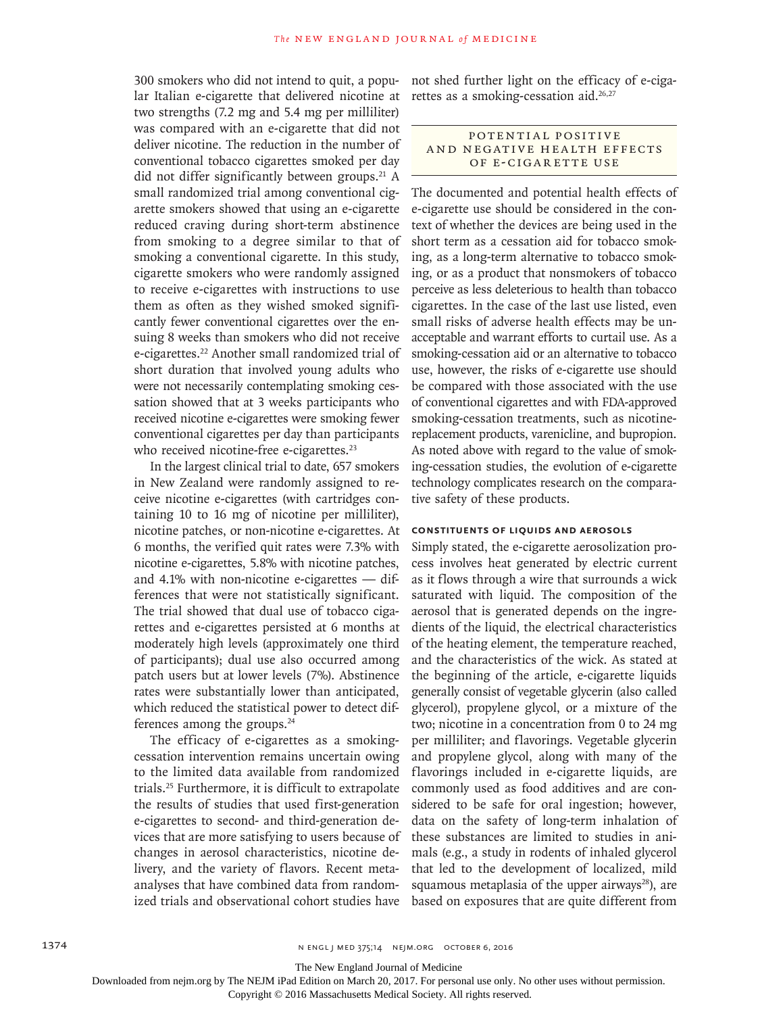300 smokers who did not intend to quit, a popular Italian e-cigarette that delivered nicotine at two strengths (7.2 mg and 5.4 mg per milliliter) was compared with an e-cigarette that did not deliver nicotine. The reduction in the number of conventional tobacco cigarettes smoked per day did not differ significantly between groups.<sup>21</sup> A small randomized trial among conventional cigarette smokers showed that using an e-cigarette reduced craving during short-term abstinence from smoking to a degree similar to that of smoking a conventional cigarette. In this study, cigarette smokers who were randomly assigned to receive e-cigarettes with instructions to use them as often as they wished smoked significantly fewer conventional cigarettes over the ensuing 8 weeks than smokers who did not receive e-cigarettes.22 Another small randomized trial of short duration that involved young adults who were not necessarily contemplating smoking cessation showed that at 3 weeks participants who received nicotine e-cigarettes were smoking fewer conventional cigarettes per day than participants who received nicotine-free e-cigarettes.<sup>23</sup>

In the largest clinical trial to date, 657 smokers in New Zealand were randomly assigned to receive nicotine e-cigarettes (with cartridges containing 10 to 16 mg of nicotine per milliliter), nicotine patches, or non-nicotine e-cigarettes. At 6 months, the verified quit rates were 7.3% with nicotine e-cigarettes, 5.8% with nicotine patches, and 4.1% with non-nicotine e-cigarettes — differences that were not statistically significant. The trial showed that dual use of tobacco cigarettes and e-cigarettes persisted at 6 months at moderately high levels (approximately one third of participants); dual use also occurred among patch users but at lower levels (7%). Abstinence rates were substantially lower than anticipated, which reduced the statistical power to detect differences among the groups.<sup>24</sup>

The efficacy of e-cigarettes as a smokingcessation intervention remains uncertain owing to the limited data available from randomized trials.25 Furthermore, it is difficult to extrapolate the results of studies that used first-generation e-cigarettes to second- and third-generation devices that are more satisfying to users because of changes in aerosol characteristics, nicotine delivery, and the variety of flavors. Recent metaanalyses that have combined data from randomized trials and observational cohort studies have

not shed further light on the efficacy of e-cigarettes as a smoking-cessation aid.<sup>26,27</sup>

## POTENTIAL POSITIVE AND NEGATIVE HEALTH EFFECTS of E-Cigarette Use

The documented and potential health effects of e-cigarette use should be considered in the context of whether the devices are being used in the short term as a cessation aid for tobacco smoking, as a long-term alternative to tobacco smoking, or as a product that nonsmokers of tobacco perceive as less deleterious to health than tobacco cigarettes. In the case of the last use listed, even small risks of adverse health effects may be unacceptable and warrant efforts to curtail use. As a smoking-cessation aid or an alternative to tobacco use, however, the risks of e-cigarette use should be compared with those associated with the use of conventional cigarettes and with FDA-approved smoking-cessation treatments, such as nicotinereplacement products, varenicline, and bupropion. As noted above with regard to the value of smoking-cessation studies, the evolution of e-cigarette technology complicates research on the comparative safety of these products.

# **Constituents of Liquids and Aerosols**

Simply stated, the e-cigarette aerosolization process involves heat generated by electric current as it flows through a wire that surrounds a wick saturated with liquid. The composition of the aerosol that is generated depends on the ingredients of the liquid, the electrical characteristics of the heating element, the temperature reached, and the characteristics of the wick. As stated at the beginning of the article, e-cigarette liquids generally consist of vegetable glycerin (also called glycerol), propylene glycol, or a mixture of the two; nicotine in a concentration from 0 to 24 mg per milliliter; and flavorings. Vegetable glycerin and propylene glycol, along with many of the flavorings included in e-cigarette liquids, are commonly used as food additives and are considered to be safe for oral ingestion; however, data on the safety of long-term inhalation of these substances are limited to studies in animals (e.g., a study in rodents of inhaled glycerol that led to the development of localized, mild squamous metaplasia of the upper airways $^{28}$ ), are based on exposures that are quite different from

The New England Journal of Medicine

Downloaded from nejm.org by The NEJM iPad Edition on March 20, 2017. For personal use only. No other uses without permission.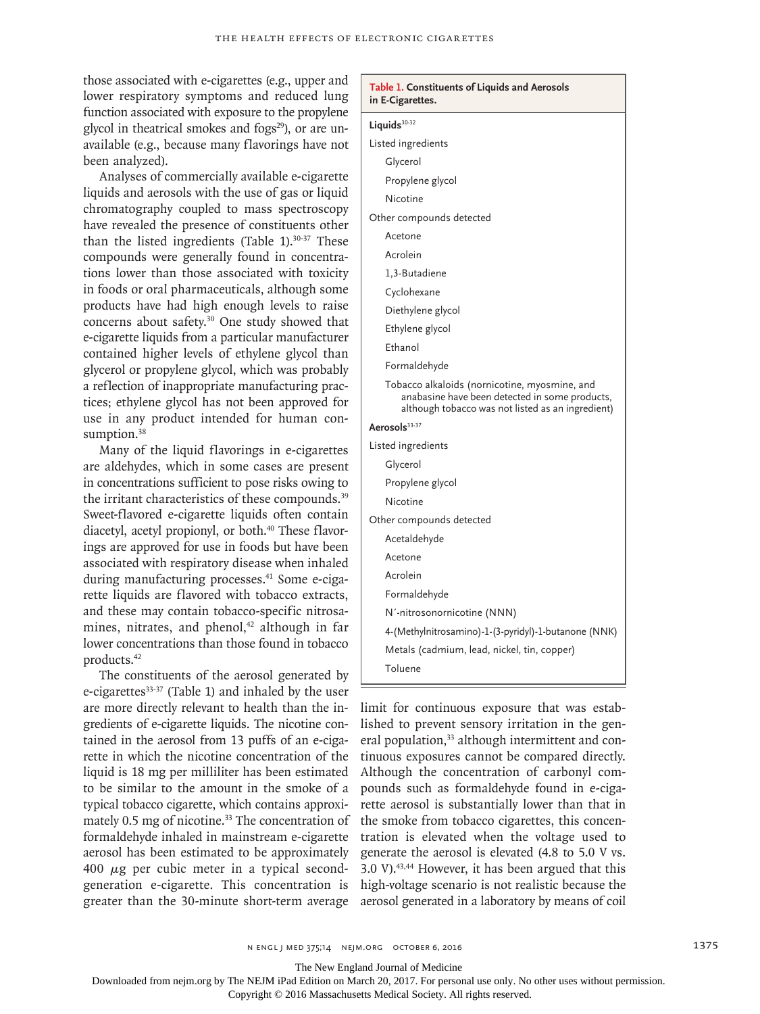those associated with e-cigarettes (e.g., upper and lower respiratory symptoms and reduced lung function associated with exposure to the propylene glycol in theatrical smokes and fogs $29$ ), or are unavailable (e.g., because many flavorings have not been analyzed).

Analyses of commercially available e-cigarette liquids and aerosols with the use of gas or liquid chromatography coupled to mass spectroscopy have revealed the presence of constituents other than the listed ingredients (Table  $1$ ).<sup>30-37</sup> These compounds were generally found in concentrations lower than those associated with toxicity in foods or oral pharmaceuticals, although some products have had high enough levels to raise concerns about safety.30 One study showed that e-cigarette liquids from a particular manufacturer contained higher levels of ethylene glycol than glycerol or propylene glycol, which was probably a reflection of inappropriate manufacturing practices; ethylene glycol has not been approved for use in any product intended for human consumption.<sup>38</sup>

Many of the liquid flavorings in e-cigarettes are aldehydes, which in some cases are present in concentrations sufficient to pose risks owing to the irritant characteristics of these compounds.<sup>39</sup> Sweet-flavored e-cigarette liquids often contain diacetyl, acetyl propionyl, or both.<sup>40</sup> These flavorings are approved for use in foods but have been associated with respiratory disease when inhaled during manufacturing processes.<sup>41</sup> Some e-cigarette liquids are flavored with tobacco extracts, and these may contain tobacco-specific nitrosamines, nitrates, and phenol, $42$  although in far lower concentrations than those found in tobacco products.42

The constituents of the aerosol generated by e-cigarettes<sup>33-37</sup> (Table 1) and inhaled by the user are more directly relevant to health than the ingredients of e-cigarette liquids. The nicotine contained in the aerosol from 13 puffs of an e-cigarette in which the nicotine concentration of the liquid is 18 mg per milliliter has been estimated to be similar to the amount in the smoke of a typical tobacco cigarette, which contains approximately 0.5 mg of nicotine.<sup>33</sup> The concentration of formaldehyde inhaled in mainstream e-cigarette aerosol has been estimated to be approximately 400  $\mu$ g per cubic meter in a typical secondgeneration e-cigarette. This concentration is greater than the 30-minute short-term average

| Table 1. Constituents of Liquids and Aerosols<br>in E-Cigarettes.                                                                                    |
|------------------------------------------------------------------------------------------------------------------------------------------------------|
| Liquids <sup>30-32</sup>                                                                                                                             |
| Listed ingredients                                                                                                                                   |
| Glycerol                                                                                                                                             |
| Propylene glycol                                                                                                                                     |
| Nicotine                                                                                                                                             |
| Other compounds detected                                                                                                                             |
| Acetone                                                                                                                                              |
| Acrolein                                                                                                                                             |
| 1,3-Butadiene                                                                                                                                        |
| Cyclohexane                                                                                                                                          |
| Diethylene glycol                                                                                                                                    |
| Ethylene glycol                                                                                                                                      |
| Ethanol                                                                                                                                              |
| Formaldehyde                                                                                                                                         |
| Tobacco alkaloids (nornicotine, myosmine, and<br>anabasine have been detected in some products,<br>although tobacco was not listed as an ingredient) |
| Aerosols33-37                                                                                                                                        |
| Listed ingredients                                                                                                                                   |
| Glycerol                                                                                                                                             |
| Propylene glycol                                                                                                                                     |
| Nicotine                                                                                                                                             |
| Other compounds detected                                                                                                                             |
| Acetaldehyde                                                                                                                                         |
| Acetone                                                                                                                                              |
| Acrolein                                                                                                                                             |
| Formaldehyde                                                                                                                                         |
| N'-nitrosonornicotine (NNN)                                                                                                                          |
| 4-(Methylnitrosamino)-1-(3-pyridyl)-1-butanone (NNK)                                                                                                 |
| Metals (cadmium, lead, nickel, tin, copper)                                                                                                          |
| Toluene                                                                                                                                              |
|                                                                                                                                                      |

limit for continuous exposure that was established to prevent sensory irritation in the general population,<sup>33</sup> although intermittent and continuous exposures cannot be compared directly. Although the concentration of carbonyl compounds such as formaldehyde found in e-cigarette aerosol is substantially lower than that in the smoke from tobacco cigarettes, this concentration is elevated when the voltage used to generate the aerosol is elevated (4.8 to 5.0 V vs. 3.0 V).43,44 However, it has been argued that this high-voltage scenario is not realistic because the aerosol generated in a laboratory by means of coil

The New England Journal of Medicine

Downloaded from nejm.org by The NEJM iPad Edition on March 20, 2017. For personal use only. No other uses without permission.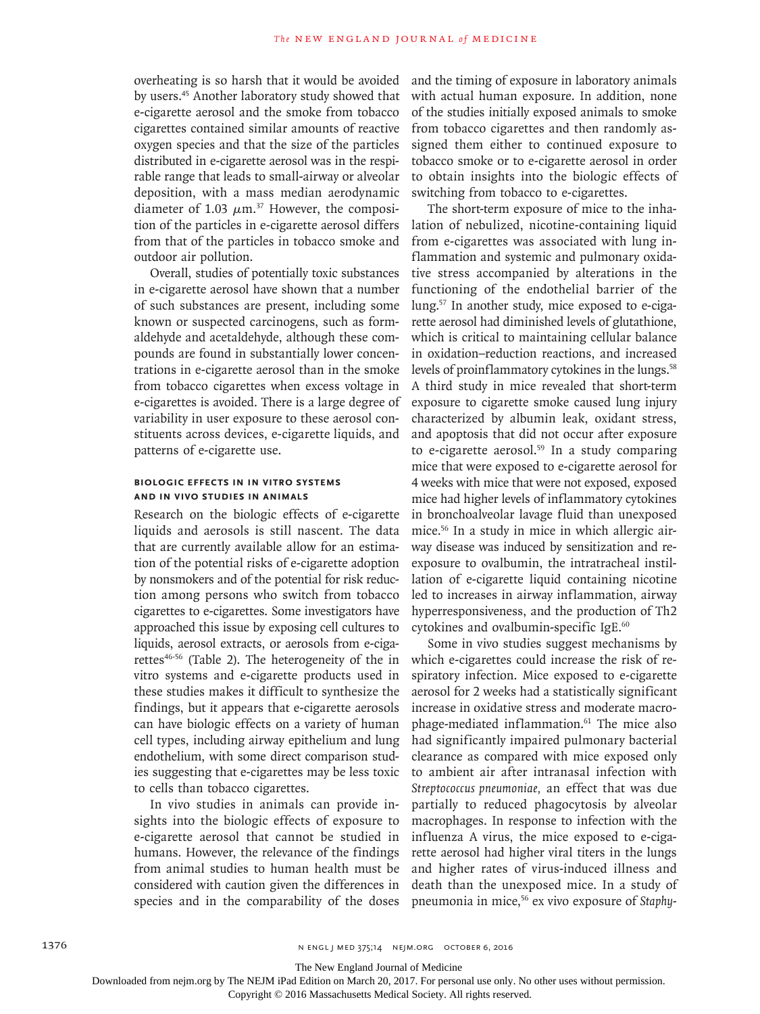overheating is so harsh that it would be avoided by users.45 Another laboratory study showed that e-cigarette aerosol and the smoke from tobacco cigarettes contained similar amounts of reactive oxygen species and that the size of the particles distributed in e-cigarette aerosol was in the respirable range that leads to small-airway or alveolar deposition, with a mass median aerodynamic diameter of 1.03  $\mu$ m.<sup>37</sup> However, the composition of the particles in e-cigarette aerosol differs from that of the particles in tobacco smoke and outdoor air pollution.

Overall, studies of potentially toxic substances in e-cigarette aerosol have shown that a number of such substances are present, including some known or suspected carcinogens, such as formaldehyde and acetaldehyde, although these compounds are found in substantially lower concentrations in e-cigarette aerosol than in the smoke from tobacco cigarettes when excess voltage in e-cigarettes is avoided. There is a large degree of variability in user exposure to these aerosol constituents across devices, e-cigarette liquids, and patterns of e-cigarette use.

# **Biologic Effects in In Vitro Systems and In Vivo Studies in Animals**

Research on the biologic effects of e-cigarette liquids and aerosols is still nascent. The data that are currently available allow for an estimation of the potential risks of e-cigarette adoption by nonsmokers and of the potential for risk reduction among persons who switch from tobacco cigarettes to e-cigarettes. Some investigators have approached this issue by exposing cell cultures to liquids, aerosol extracts, or aerosols from e-cigarettes<sup>46-56</sup> (Table 2). The heterogeneity of the in vitro systems and e-cigarette products used in these studies makes it difficult to synthesize the findings, but it appears that e-cigarette aerosols can have biologic effects on a variety of human cell types, including airway epithelium and lung endothelium, with some direct comparison studies suggesting that e-cigarettes may be less toxic to cells than tobacco cigarettes.

In vivo studies in animals can provide insights into the biologic effects of exposure to e-cigarette aerosol that cannot be studied in humans. However, the relevance of the findings from animal studies to human health must be considered with caution given the differences in species and in the comparability of the doses and the timing of exposure in laboratory animals with actual human exposure. In addition, none of the studies initially exposed animals to smoke from tobacco cigarettes and then randomly assigned them either to continued exposure to tobacco smoke or to e-cigarette aerosol in order to obtain insights into the biologic effects of switching from tobacco to e-cigarettes.

The short-term exposure of mice to the inhalation of nebulized, nicotine-containing liquid from e-cigarettes was associated with lung inflammation and systemic and pulmonary oxidative stress accompanied by alterations in the functioning of the endothelial barrier of the lung.57 In another study, mice exposed to e-cigarette aerosol had diminished levels of glutathione, which is critical to maintaining cellular balance in oxidation–reduction reactions, and increased levels of proinflammatory cytokines in the lungs.<sup>58</sup> A third study in mice revealed that short-term exposure to cigarette smoke caused lung injury characterized by albumin leak, oxidant stress, and apoptosis that did not occur after exposure to e-cigarette aerosol.<sup>59</sup> In a study comparing mice that were exposed to e-cigarette aerosol for 4 weeks with mice that were not exposed, exposed mice had higher levels of inflammatory cytokines in bronchoalveolar lavage fluid than unexposed mice.56 In a study in mice in which allergic airway disease was induced by sensitization and reexposure to ovalbumin, the intratracheal instillation of e-cigarette liquid containing nicotine led to increases in airway inflammation, airway hyperresponsiveness, and the production of Th2 cytokines and ovalbumin-specific IgE.<sup>60</sup>

Some in vivo studies suggest mechanisms by which e-cigarettes could increase the risk of respiratory infection. Mice exposed to e-cigarette aerosol for 2 weeks had a statistically significant increase in oxidative stress and moderate macrophage-mediated inflammation.<sup>61</sup> The mice also had significantly impaired pulmonary bacterial clearance as compared with mice exposed only to ambient air after intranasal infection with *Streptococcus pneumoniae,* an effect that was due partially to reduced phagocytosis by alveolar macrophages. In response to infection with the influenza A virus, the mice exposed to e-cigarette aerosol had higher viral titers in the lungs and higher rates of virus-induced illness and death than the unexposed mice. In a study of pneumonia in mice,56 ex vivo exposure of *Staphy-*

The New England Journal of Medicine

Downloaded from nejm.org by The NEJM iPad Edition on March 20, 2017. For personal use only. No other uses without permission.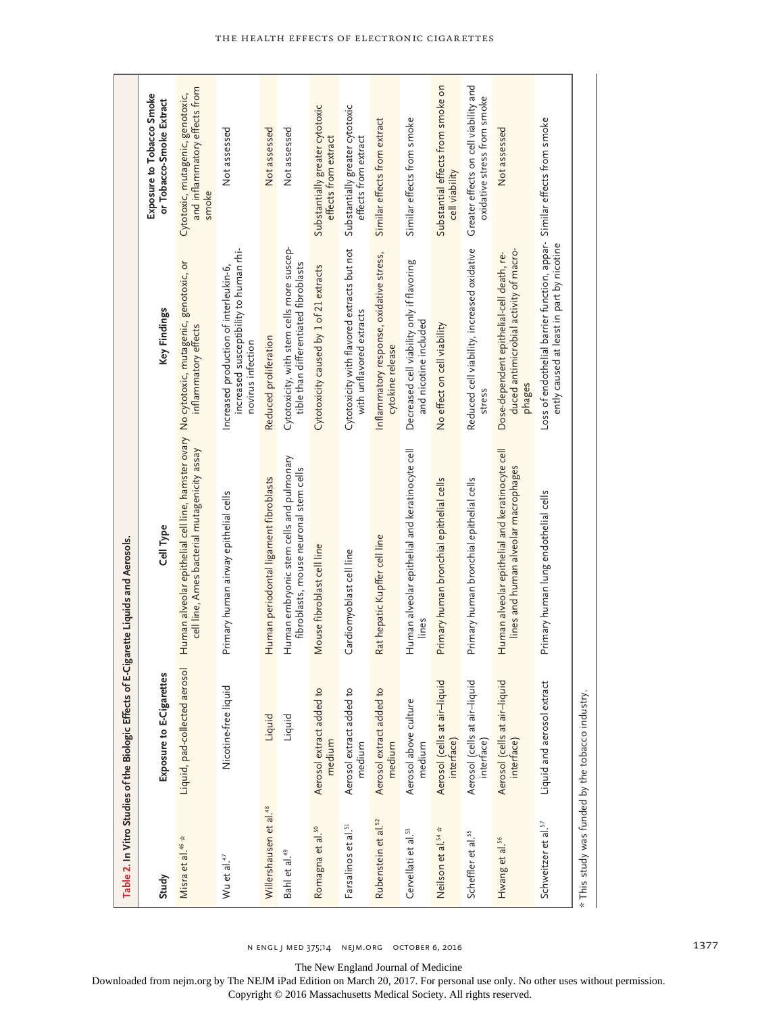|                                    | Table 2. In Vitro Studies of the Biologic Effects of E-Cigarette Liquids and Aerosols. |                                                                                                                                           |                                                                                                       |                                                                            |
|------------------------------------|----------------------------------------------------------------------------------------|-------------------------------------------------------------------------------------------------------------------------------------------|-------------------------------------------------------------------------------------------------------|----------------------------------------------------------------------------|
| Study                              | Exposure to E-Cigarettes                                                               | Cell Type                                                                                                                                 | Key Findings                                                                                          | Exposure to Tobacco Smoke<br>or Tobacco-Smoke Extract                      |
| Misra et al. <sup>46</sup> *       | Liquid, pad-collected aerosol                                                          | Human alveolar epithelial cell line, hamster ovary No cytotoxic, mutagenic, genotoxic, or<br>cell line, Ames bacterial mutagenicity assay | inflammatory effects                                                                                  | and inflammatory effects from<br>Cytotoxic, mutagenic, genotoxic,<br>smoke |
| Wu et al. <sup>47</sup>            | Nicotine-free liquid                                                                   | Primary human airway epithelial cells                                                                                                     | increased susceptibility to human rhi-<br>Increased production of interleukin-6,<br>novirus infection | Not assessed                                                               |
| Willershausen et al. <sup>48</sup> | Liquid                                                                                 | Human periodontal ligament fibroblasts                                                                                                    | Reduced proliferation                                                                                 | Not assessed                                                               |
| Bahl et al. <sup>49</sup>          | Liquid                                                                                 | Human embryonic stem cells and pulmonary<br>fibroblasts, mouse neuronal stem cells                                                        | Cytotoxicity, with stem cells more suscep-<br>tible than differentiated fibroblasts                   | Not assessed                                                               |
| Romagna et al. <sup>50</sup>       | Aerosol extract added to<br>medium                                                     | Mouse fibroblast cell line                                                                                                                | Cytotoxicity caused by 1 of 21 extracts                                                               | Substantially greater cytotoxic<br>effects from extract                    |
| Farsalinos et al. <sup>51</sup>    | Aerosol extract added to<br>medium                                                     | Cardiomyoblast cell line                                                                                                                  | Cytotoxicity with flavored extracts but not<br>with unflavored extracts                               | Substantially greater cytotoxic<br>effects from extract                    |
| Rubenstein et al. <sup>52</sup>    | Aerosol extract added to<br>medium                                                     | Rat hepatic Kupffer cell line                                                                                                             | Inflammatory response, oxidative stress,<br>cytokine release                                          | Similar effects from extract                                               |
| Cervellati et al. <sup>53</sup>    | Aerosol above culture<br>medium                                                        | Human alveolar epithelial and keratinocyte cell                                                                                           | Decreased cell viability only if flavoring<br>and nicotine included                                   | Similar effects from smoke                                                 |
| Neilson et al. <sup>54</sup> *     | Aerosol (cells at air-liquid<br>interface)                                             | Primary human bronchial epithelial cells                                                                                                  | No effect on cell viability                                                                           | Substantial effects from smoke on<br>cell viability                        |
| Scheffler et al. <sup>55</sup>     | Aerosol (cells at air-liquid<br>interface)                                             | Primary human bronchial epithelial cells                                                                                                  | Reduced cell viability, increased oxidative<br>stress                                                 | Greater effects on cell viability and<br>oxidative stress from smoke       |
| Hwang et al. <sup>56</sup>         | Aerosol (cells at air-liquid<br>interface)                                             | Human alveolar epithelial and keratinocyte cell<br>lines and human alveolar macrophages                                                   | duced antimicrobial activity of macro-<br>Dose-dependent epithelial-cell death, re-<br>phages         | Not assessed                                                               |
| Schweitzer et al. <sup>57</sup>    | Liquid and aerosol extract                                                             | Primary human lung endothelial cells                                                                                                      | Loss of endothelial barrier function, appar-<br>ently caused at least in part by nicotine             | Similar effects from smoke                                                 |
|                                    | * This study was funded by the tobacco industry.                                       |                                                                                                                                           |                                                                                                       |                                                                            |

The New England Journal of Medicine

Downloaded from nejm.org by The NEJM iPad Edition on March 20, 2017. For personal use only. No other uses without permission.

Copyright © 2016 Massachusetts Medical Society. All rights reserved.

#### The Health Effects of Electronic Cigarettes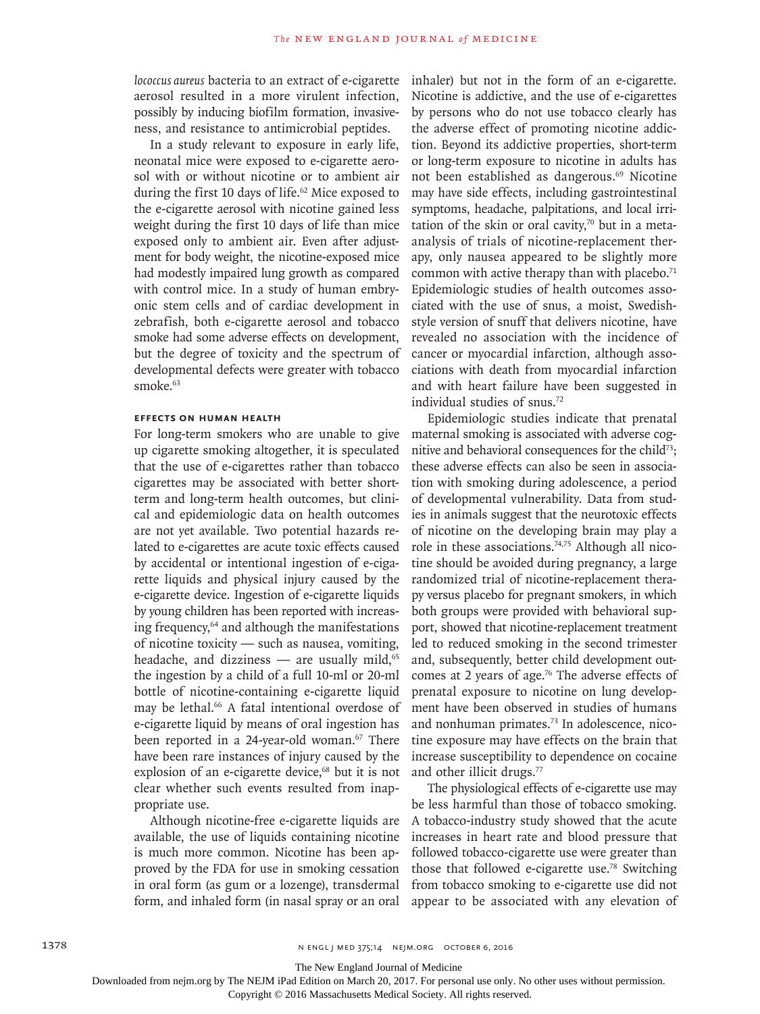*lococcus aureus* bacteria to an extract of e-cigarette aerosol resulted in a more virulent infection, possibly by inducing biofilm formation, invasiveness, and resistance to antimicrobial peptides.

In a study relevant to exposure in early life, neonatal mice were exposed to e-cigarette aerosol with or without nicotine or to ambient air during the first 10 days of life.<sup>62</sup> Mice exposed to the e-cigarette aerosol with nicotine gained less weight during the first 10 days of life than mice exposed only to ambient air. Even after adjustment for body weight, the nicotine-exposed mice had modestly impaired lung growth as compared with control mice. In a study of human embryonic stem cells and of cardiac development in zebrafish, both e-cigarette aerosol and tobacco smoke had some adverse effects on development, but the degree of toxicity and the spectrum of developmental defects were greater with tobacco smoke.<sup>63</sup>

# **Effects on Human Health**

For long-term smokers who are unable to give up cigarette smoking altogether, it is speculated that the use of e-cigarettes rather than tobacco cigarettes may be associated with better shortterm and long-term health outcomes, but clinical and epidemiologic data on health outcomes are not yet available. Two potential hazards related to e-cigarettes are acute toxic effects caused by accidental or intentional ingestion of e-cigarette liquids and physical injury caused by the e-cigarette device. Ingestion of e-cigarette liquids by young children has been reported with increasing frequency,<sup>64</sup> and although the manifestations of nicotine toxicity — such as nausea, vomiting, headache, and dizziness — are usually mild, $65$ the ingestion by a child of a full 10-ml or 20-ml bottle of nicotine-containing e-cigarette liquid may be lethal.<sup>66</sup> A fatal intentional overdose of e-cigarette liquid by means of oral ingestion has been reported in a 24-year-old woman.<sup>67</sup> There have been rare instances of injury caused by the explosion of an e-cigarette device,<sup>68</sup> but it is not clear whether such events resulted from inappropriate use.

Although nicotine-free e-cigarette liquids are available, the use of liquids containing nicotine is much more common. Nicotine has been approved by the FDA for use in smoking cessation in oral form (as gum or a lozenge), transdermal form, and inhaled form (in nasal spray or an oral inhaler) but not in the form of an e-cigarette. Nicotine is addictive, and the use of e-cigarettes by persons who do not use tobacco clearly has the adverse effect of promoting nicotine addiction. Beyond its addictive properties, short-term or long-term exposure to nicotine in adults has not been established as dangerous.<sup>69</sup> Nicotine may have side effects, including gastrointestinal symptoms, headache, palpitations, and local irritation of the skin or oral cavity, $70$  but in a metaanalysis of trials of nicotine-replacement therapy, only nausea appeared to be slightly more common with active therapy than with placebo. $71$ Epidemiologic studies of health outcomes associated with the use of snus, a moist, Swedishstyle version of snuff that delivers nicotine, have revealed no association with the incidence of cancer or myocardial infarction, although associations with death from myocardial infarction and with heart failure have been suggested in individual studies of snus.<sup>72</sup>

Epidemiologic studies indicate that prenatal maternal smoking is associated with adverse cognitive and behavioral consequences for the child<sup>73</sup>; these adverse effects can also be seen in association with smoking during adolescence, a period of developmental vulnerability. Data from studies in animals suggest that the neurotoxic effects of nicotine on the developing brain may play a role in these associations.<sup>74,75</sup> Although all nicotine should be avoided during pregnancy, a large randomized trial of nicotine-replacement therapy versus placebo for pregnant smokers, in which both groups were provided with behavioral support, showed that nicotine-replacement treatment led to reduced smoking in the second trimester and, subsequently, better child development outcomes at 2 years of age.<sup>76</sup> The adverse effects of prenatal exposure to nicotine on lung development have been observed in studies of humans and nonhuman primates.73 In adolescence, nicotine exposure may have effects on the brain that increase susceptibility to dependence on cocaine and other illicit drugs.<sup>77</sup>

The physiological effects of e-cigarette use may be less harmful than those of tobacco smoking. A tobacco-industry study showed that the acute increases in heart rate and blood pressure that followed tobacco-cigarette use were greater than those that followed e-cigarette use.78 Switching from tobacco smoking to e-cigarette use did not appear to be associated with any elevation of

The New England Journal of Medicine

Downloaded from nejm.org by The NEJM iPad Edition on March 20, 2017. For personal use only. No other uses without permission.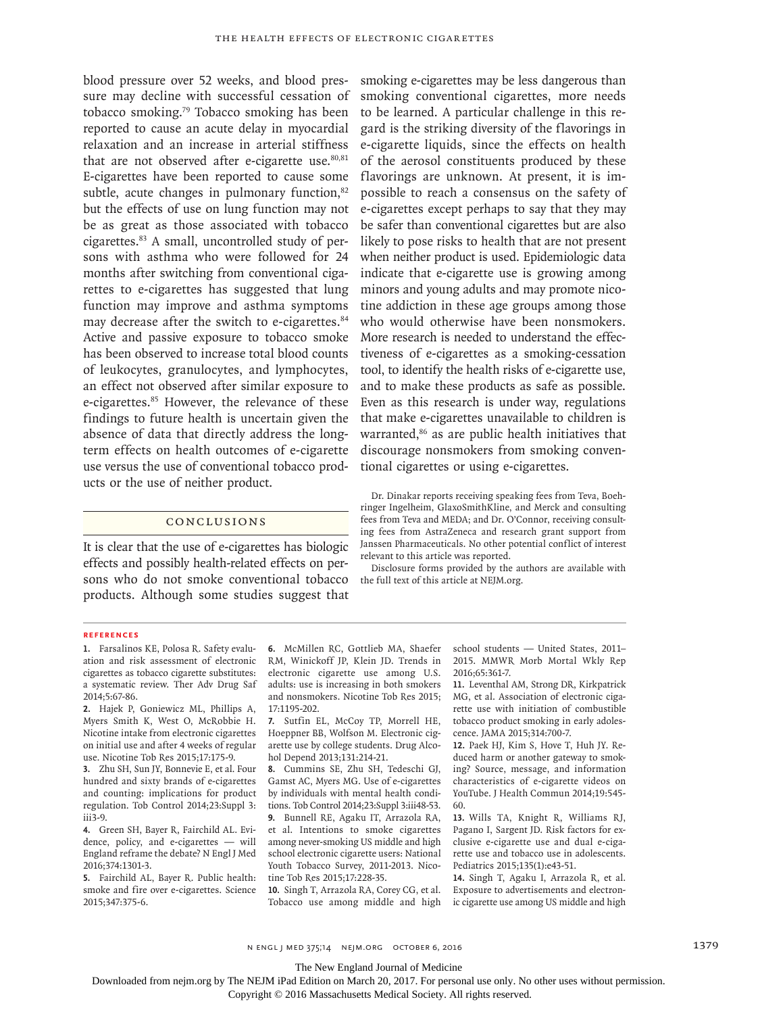blood pressure over 52 weeks, and blood pressure may decline with successful cessation of tobacco smoking.79 Tobacco smoking has been reported to cause an acute delay in myocardial relaxation and an increase in arterial stiffness that are not observed after e-cigarette use. $80,81$ E-cigarettes have been reported to cause some subtle, acute changes in pulmonary function, $82$ but the effects of use on lung function may not be as great as those associated with tobacco cigarettes.83 A small, uncontrolled study of persons with asthma who were followed for 24 months after switching from conventional cigarettes to e-cigarettes has suggested that lung function may improve and asthma symptoms may decrease after the switch to e-cigarettes.<sup>84</sup> Active and passive exposure to tobacco smoke has been observed to increase total blood counts of leukocytes, granulocytes, and lymphocytes, an effect not observed after similar exposure to e-cigarettes.<sup>85</sup> However, the relevance of these findings to future health is uncertain given the absence of data that directly address the longterm effects on health outcomes of e-cigarette use versus the use of conventional tobacco products or the use of neither product.

### Conclusions

It is clear that the use of e-cigarettes has biologic effects and possibly health-related effects on persons who do not smoke conventional tobacco products. Although some studies suggest that

smoking e-cigarettes may be less dangerous than smoking conventional cigarettes, more needs to be learned. A particular challenge in this regard is the striking diversity of the flavorings in e-cigarette liquids, since the effects on health of the aerosol constituents produced by these flavorings are unknown. At present, it is impossible to reach a consensus on the safety of e-cigarettes except perhaps to say that they may be safer than conventional cigarettes but are also likely to pose risks to health that are not present when neither product is used. Epidemiologic data indicate that e-cigarette use is growing among minors and young adults and may promote nicotine addiction in these age groups among those who would otherwise have been nonsmokers. More research is needed to understand the effectiveness of e-cigarettes as a smoking-cessation tool, to identify the health risks of e-cigarette use, and to make these products as safe as possible. Even as this research is under way, regulations that make e-cigarettes unavailable to children is warranted,<sup>86</sup> as are public health initiatives that discourage nonsmokers from smoking conventional cigarettes or using e-cigarettes.

Dr. Dinakar reports receiving speaking fees from Teva, Boehringer Ingelheim, GlaxoSmithKline, and Merck and consulting fees from Teva and MEDA; and Dr. O'Connor, receiving consulting fees from AstraZeneca and research grant support from Janssen Pharmaceuticals. No other potential conflict of interest relevant to this article was reported.

Disclosure forms provided by the authors are available with the full text of this article at NEJM.org.

#### **References**

**1.** Farsalinos KE, Polosa R. Safety evaluation and risk assessment of electronic cigarettes as tobacco cigarette substitutes: a systematic review. Ther Adv Drug Saf 2014;5:67-86.

**2.** Hajek P, Goniewicz ML, Phillips A, Myers Smith K, West O, McRobbie H. Nicotine intake from electronic cigarettes on initial use and after 4 weeks of regular use. Nicotine Tob Res 2015;17:175-9.

**3.** Zhu SH, Sun JY, Bonnevie E, et al. Four hundred and sixty brands of e-cigarettes and counting: implications for product regulation. Tob Control 2014;23:Suppl 3: iii3-9.

**4.** Green SH, Bayer R, Fairchild AL. Evidence, policy, and e-cigarettes — will England reframe the debate? N Engl J Med 2016;374:1301-3.

**5.** Fairchild AL, Bayer R. Public health: smoke and fire over e-cigarettes. Science 2015;347:375-6.

**6.** McMillen RC, Gottlieb MA, Shaefer RM, Winickoff JP, Klein JD. Trends in electronic cigarette use among U.S. adults: use is increasing in both smokers and nonsmokers. Nicotine Tob Res 2015; 17:1195-202.

**7.** Sutfin EL, McCoy TP, Morrell HE, Hoeppner BB, Wolfson M. Electronic cigarette use by college students. Drug Alcohol Depend 2013;131:214-21.

**8.** Cummins SE, Zhu SH, Tedeschi GJ, Gamst AC, Myers MG. Use of e-cigarettes by individuals with mental health conditions. Tob Control 2014;23:Suppl 3:iii48-53.

**9.** Bunnell RE, Agaku IT, Arrazola RA, et al. Intentions to smoke cigarettes among never-smoking US middle and high school electronic cigarette users: National Youth Tobacco Survey, 2011-2013. Nicotine Tob Res 2015;17:228-35.

**10.** Singh T, Arrazola RA, Corey CG, et al. Tobacco use among middle and high school students — United States, 2011– 2015. MMWR Morb Mortal Wkly Rep 2016;65:361-7.

**11.** Leventhal AM, Strong DR, Kirkpatrick MG, et al. Association of electronic cigarette use with initiation of combustible tobacco product smoking in early adolescence. JAMA 2015;314:700-7.

**12.** Paek HJ, Kim S, Hove T, Huh JY. Reduced harm or another gateway to smoking? Source, message, and information characteristics of e-cigarette videos on YouTube. J Health Commun 2014;19:545- 60.

**13.** Wills TA, Knight R, Williams RJ, Pagano I, Sargent JD. Risk factors for exclusive e-cigarette use and dual e-cigarette use and tobacco use in adolescents. Pediatrics 2015;135(1):e43-51.

**14.** Singh T, Agaku I, Arrazola R, et al. Exposure to advertisements and electronic cigarette use among US middle and high

n engl j med 375;14 nejm.org October 6, 2016 1379

The New England Journal of Medicine

Downloaded from nejm.org by The NEJM iPad Edition on March 20, 2017. For personal use only. No other uses without permission.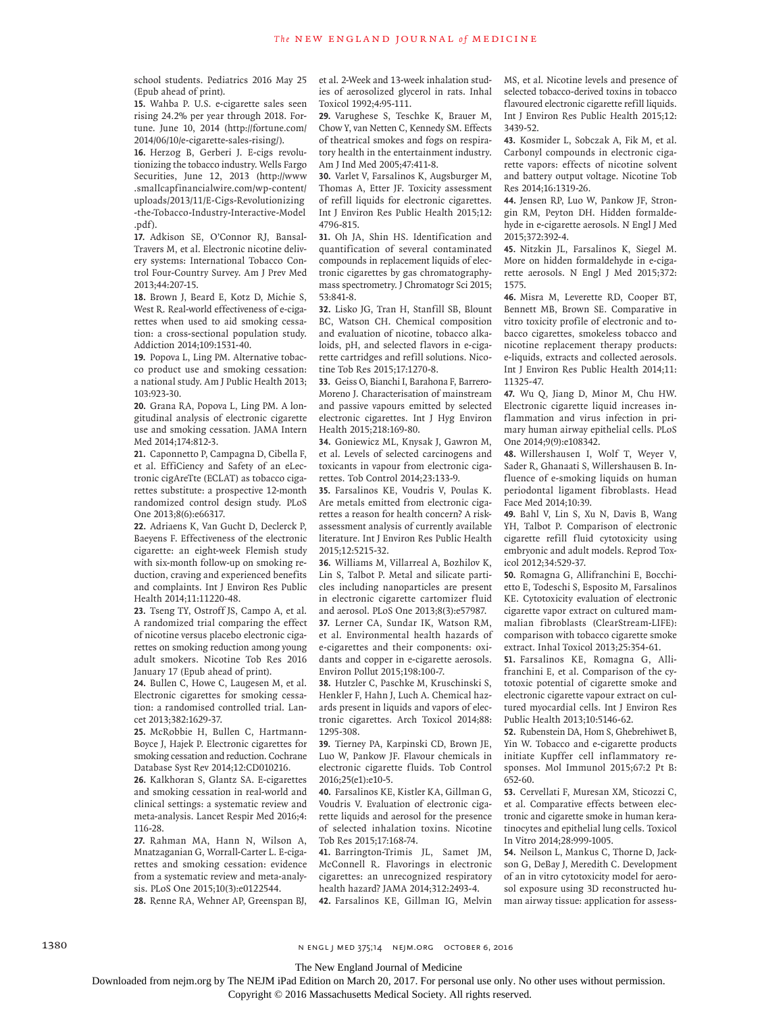school students. Pediatrics 2016 May 25 (Epub ahead of print).

**15.** Wahba P. U.S. e-cigarette sales seen rising 24.2% per year through 2018. Fortune. June 10, 2014 (http://fortune.com/ 2014/06/10/e-cigarette-sales-rising/).

**16.** Herzog B, Gerberi J. E-cigs revolutionizing the tobacco industry. Wells Fargo Securities, June 12, 2013 (http://www .smallcapfinancialwire.com/wp-content/ uploads/2013/11/E-Cigs-Revolutionizing -the-Tobacco-Industry-Interactive-Model .pdf).

**17.** Adkison SE, O'Connor RJ, Bansal-Travers M, et al. Electronic nicotine delivery systems: International Tobacco Control Four-Country Survey. Am J Prev Med 2013;44:207-15.

**18.** Brown J, Beard E, Kotz D, Michie S, West R. Real-world effectiveness of e-cigarettes when used to aid smoking cessation: a cross-sectional population study. Addiction 2014;109:1531-40.

**19.** Popova L, Ling PM. Alternative tobacco product use and smoking cessation: a national study. Am J Public Health 2013; 103:923-30.

**20.** Grana RA, Popova L, Ling PM. A longitudinal analysis of electronic cigarette use and smoking cessation. JAMA Intern Med 2014;174:812-3.

**21.** Caponnetto P, Campagna D, Cibella F, et al. EffiCiency and Safety of an eLectronic cigAreTte (ECLAT) as tobacco cigarettes substitute: a prospective 12-month randomized control design study. PLoS One 2013;8(6):e66317.

**22.** Adriaens K, Van Gucht D, Declerck P, Baeyens F. Effectiveness of the electronic cigarette: an eight-week Flemish study with six-month follow-up on smoking reduction, craving and experienced benefits and complaints. Int J Environ Res Public Health 2014;11:11220-48.

**23.** Tseng TY, Ostroff JS, Campo A, et al. A randomized trial comparing the effect of nicotine versus placebo electronic cigarettes on smoking reduction among young adult smokers. Nicotine Tob Res 2016 January 17 (Epub ahead of print).

**24.** Bullen C, Howe C, Laugesen M, et al. Electronic cigarettes for smoking cessation: a randomised controlled trial. Lancet 2013;382:1629-37.

**25.** McRobbie H, Bullen C, Hartmann-Boyce J, Hajek P. Electronic cigarettes for smoking cessation and reduction. Cochrane Database Syst Rev 2014;12:CD010216.

**26.** Kalkhoran S, Glantz SA. E-cigarettes and smoking cessation in real-world and clinical settings: a systematic review and meta-analysis. Lancet Respir Med 2016;4: 116-28.

**27.** Rahman MA, Hann N, Wilson A, Mnatzaganian G, Worrall-Carter L. E-cigarettes and smoking cessation: evidence from a systematic review and meta-analysis. PLoS One 2015;10(3):e0122544.

**28.** Renne RA, Wehner AP, Greenspan BJ,

et al. 2-Week and 13-week inhalation studies of aerosolized glycerol in rats. Inhal Toxicol 1992;4:95-111.

**29.** Varughese S, Teschke K, Brauer M, Chow Y, van Netten C, Kennedy SM. Effects of theatrical smokes and fogs on respiratory health in the entertainment industry. Am J Ind Med 2005;47:411-8.

**30.** Varlet V, Farsalinos K, Augsburger M, Thomas A, Etter JF. Toxicity assessment of refill liquids for electronic cigarettes. Int J Environ Res Public Health 2015;12: 4796-815.

**31.** Oh JA, Shin HS. Identification and quantification of several contaminated compounds in replacement liquids of electronic cigarettes by gas chromatographymass spectrometry. J Chromatogr Sci 2015; 53:841-8.

**32.** Lisko JG, Tran H, Stanfill SB, Blount BC, Watson CH. Chemical composition and evaluation of nicotine, tobacco alkaloids, pH, and selected flavors in e-cigarette cartridges and refill solutions. Nicotine Tob Res 2015;17:1270-8.

**33.** Geiss O, Bianchi I, Barahona F, Barrero-Moreno J. Characterisation of mainstream and passive vapours emitted by selected electronic cigarettes. Int J Hyg Environ Health 2015;218:169-80.

**34.** Goniewicz ML, Knysak J, Gawron M, et al. Levels of selected carcinogens and toxicants in vapour from electronic cigarettes. Tob Control 2014;23:133-9.

**35.** Farsalinos KE, Voudris V, Poulas K. Are metals emitted from electronic cigarettes a reason for health concern? A riskassessment analysis of currently available literature. Int J Environ Res Public Health 2015;12:5215-32.

**36.** Williams M, Villarreal A, Bozhilov K, Lin S, Talbot P. Metal and silicate particles including nanoparticles are present in electronic cigarette cartomizer fluid and aerosol. PLoS One 2013;8(3):e57987. **37.** Lerner CA, Sundar IK, Watson RM, et al. Environmental health hazards of e-cigarettes and their components: oxidants and copper in e-cigarette aerosols. Environ Pollut 2015;198:100-7.

**38.** Hutzler C, Paschke M, Kruschinski S, Henkler F, Hahn J, Luch A. Chemical hazards present in liquids and vapors of electronic cigarettes. Arch Toxicol 2014;88: 1295-308.

**39.** Tierney PA, Karpinski CD, Brown JE, Luo W, Pankow JF. Flavour chemicals in electronic cigarette fluids. Tob Control 2016;25(e1):e10-5.

**40.** Farsalinos KE, Kistler KA, Gillman G, Voudris V. Evaluation of electronic cigarette liquids and aerosol for the presence of selected inhalation toxins. Nicotine Tob Res 2015;17:168-74.

**41.** Barrington-Trimis JL, Samet JM, McConnell R. Flavorings in electronic cigarettes: an unrecognized respiratory health hazard? JAMA 2014;312:2493-4. **42.** Farsalinos KE, Gillman IG, Melvin

MS, et al. Nicotine levels and presence of selected tobacco-derived toxins in tobacco flavoured electronic cigarette refill liquids. Int J Environ Res Public Health 2015;12: 3439-52.

**43.** Kosmider L, Sobczak A, Fik M, et al. Carbonyl compounds in electronic cigarette vapors: effects of nicotine solvent and battery output voltage. Nicotine Tob Res 2014;16:1319-26.

**44.** Jensen RP, Luo W, Pankow JF, Strongin RM, Peyton DH. Hidden formaldehyde in e-cigarette aerosols. N Engl J Med 2015;372:392-4.

**45.** Nitzkin JL, Farsalinos K, Siegel M. More on hidden formaldehyde in e-cigarette aerosols. N Engl J Med 2015;372: 1575.

**46.** Misra M, Leverette RD, Cooper BT, Bennett MB, Brown SE. Comparative in vitro toxicity profile of electronic and tobacco cigarettes, smokeless tobacco and nicotine replacement therapy products: e-liquids, extracts and collected aerosols. Int J Environ Res Public Health 2014;11: 11325-47.

**47.** Wu Q, Jiang D, Minor M, Chu HW. Electronic cigarette liquid increases inflammation and virus infection in primary human airway epithelial cells. PLoS One 2014;9(9):e108342.

**48.** Willershausen I, Wolf T, Weyer V, Sader R, Ghanaati S, Willershausen B. Influence of e-smoking liquids on human periodontal ligament fibroblasts. Head Face Med 2014;10:39.

**49.** Bahl V, Lin S, Xu N, Davis B, Wang YH, Talbot P. Comparison of electronic cigarette refill fluid cytotoxicity using embryonic and adult models. Reprod Toxicol 2012;34:529-37.

**50.** Romagna G, Allifranchini E, Bocchietto E, Todeschi S, Esposito M, Farsalinos KE. Cytotoxicity evaluation of electronic cigarette vapor extract on cultured mammalian fibroblasts (ClearStream-LIFE): comparison with tobacco cigarette smoke extract. Inhal Toxicol 2013;25:354-61.

**51.** Farsalinos KE, Romagna G, Allifranchini E, et al. Comparison of the cytotoxic potential of cigarette smoke and electronic cigarette vapour extract on cultured myocardial cells. Int J Environ Res Public Health 2013;10:5146-62.

**52.** Rubenstein DA, Hom S, Ghebrehiwet B, Yin W. Tobacco and e-cigarette products initiate Kupffer cell inflammatory responses. Mol Immunol 2015;67:2 Pt B: 652-60.

**53.** Cervellati F, Muresan XM, Sticozzi C, et al. Comparative effects between electronic and cigarette smoke in human keratinocytes and epithelial lung cells. Toxicol In Vitro 2014;28:999-1005.

**54.** Neilson L, Mankus C, Thorne D, Jackson G, DeBay J, Meredith C. Development of an in vitro cytotoxicity model for aerosol exposure using 3D reconstructed human airway tissue: application for assess-

1380 **n engl j med 375;14 NEMORG** OCTOBER 6, 2016

The New England Journal of Medicine

Downloaded from nejm.org by The NEJM iPad Edition on March 20, 2017. For personal use only. No other uses without permission.